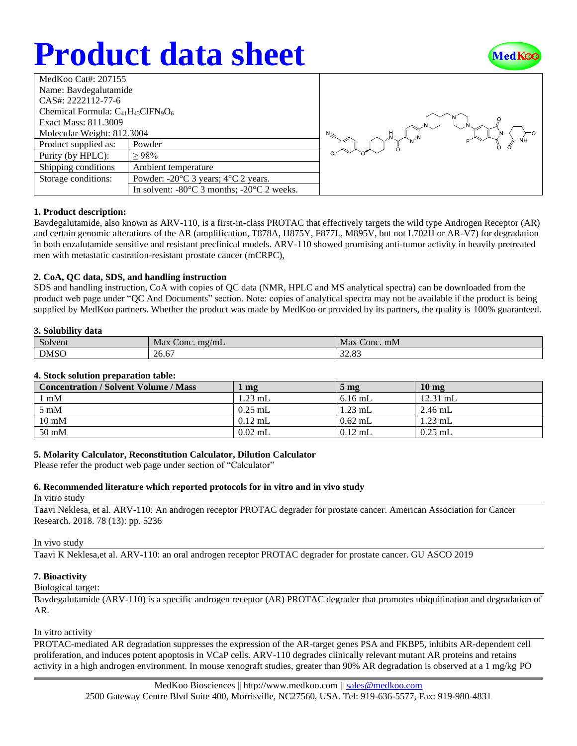# **Product data sheet**



| MedKoo Cat#: 207155                       |                                                                |  |  |  |
|-------------------------------------------|----------------------------------------------------------------|--|--|--|
| Name: Bavdegalutamide                     |                                                                |  |  |  |
| CAS#: 2222112-77-6                        |                                                                |  |  |  |
| Chemical Formula: $C_{41}H_{43}CIFN_9O_6$ |                                                                |  |  |  |
| Exact Mass: 811.3009                      |                                                                |  |  |  |
| Molecular Weight: 812.3004                |                                                                |  |  |  |
| Product supplied as:                      | Powder                                                         |  |  |  |
| Purity (by HPLC):                         | $\geq 98\%$                                                    |  |  |  |
| Shipping conditions                       | Ambient temperature                                            |  |  |  |
| Storage conditions:                       | Powder: $-20^{\circ}$ C 3 years; $4^{\circ}$ C 2 years.        |  |  |  |
|                                           | In solvent: $-80^{\circ}$ C 3 months; $-20^{\circ}$ C 2 weeks. |  |  |  |
|                                           |                                                                |  |  |  |



## **1. Product description:**

Bavdegalutamide, also known as ARV-110, is a first-in-class PROTAC that effectively targets the wild type Androgen Receptor (AR) and certain genomic alterations of the AR (amplification, T878A, H875Y, F877L, M895V, but not L702H or AR-V7) for degradation in both enzalutamide sensitive and resistant preclinical models. ARV-110 showed promising anti-tumor activity in heavily pretreated men with metastatic castration-resistant prostate cancer (mCRPC),

#### **2. CoA, QC data, SDS, and handling instruction**

SDS and handling instruction, CoA with copies of QC data (NMR, HPLC and MS analytical spectra) can be downloaded from the product web page under "QC And Documents" section. Note: copies of analytical spectra may not be available if the product is being supplied by MedKoo partners. Whether the product was made by MedKoo or provided by its partners, the quality is 100% guaranteed.

#### **3. Solubility data**

| $\sim$<br>Solvent | Max<br>. $\text{m} \text{g} / \text{m} \text{L}$<br>Conc. | Max<br>Conc. mM |
|-------------------|-----------------------------------------------------------|-----------------|
| <b>DMSO</b>       | 26.67                                                     | 22.02<br>34.OJ  |

#### **4. Stock solution preparation table:**

| <b>Concentration / Solvent Volume / Mass</b> | mg        | $5 \,\mathrm{mg}$ | 10 <sub>mg</sub> |
|----------------------------------------------|-----------|-------------------|------------------|
| $1 \text{ mM}$                               | $1.23$ mL | $6.16$ mL         | $12.31$ mL       |
| $5 \text{ mM}$                               | $0.25$ mL | $1.23$ mL         | $2.46$ mL        |
| $10 \text{ mM}$                              | $0.12$ mL | $0.62$ mL         | $1.23$ mL        |
| $50 \text{ mM}$                              | $0.02$ mL | $0.12$ mL         | $0.25$ mL        |

## **5. Molarity Calculator, Reconstitution Calculator, Dilution Calculator**

Please refer the product web page under section of "Calculator"

# **6. Recommended literature which reported protocols for in vitro and in vivo study**

In vitro study

Taavi Neklesa, et al. ARV-110: An androgen receptor PROTAC degrader for prostate cancer. American Association for Cancer Research. 2018. 78 (13): pp. 5236

#### In vivo study

Taavi K Neklesa,et al. ARV-110: an oral androgen receptor PROTAC degrader for prostate cancer. GU ASCO 2019

## **7. Bioactivity**

# Biological target:

Bavdegalutamide (ARV-110) is a specific androgen receptor (AR) PROTAC degrader that promotes ubiquitination and degradation of AR.

#### In vitro activity

PROTAC-mediated AR degradation suppresses the expression of the AR-target genes PSA and FKBP5, inhibits AR-dependent cell proliferation, and induces potent apoptosis in VCaP cells. ARV-110 degrades clinically relevant mutant AR proteins and retains activity in a high androgen environment. In mouse xenograft studies, greater than 90% AR degradation is observed at a 1 mg/kg PO

> MedKoo Biosciences || [http://www.medkoo.com](http://www.medkoo.com/) || [sales@medkoo.com](mailto:sales@medkoo.com) 2500 Gateway Centre Blvd Suite 400, Morrisville, NC27560, USA. Tel: 919-636-5577, Fax: 919-980-4831